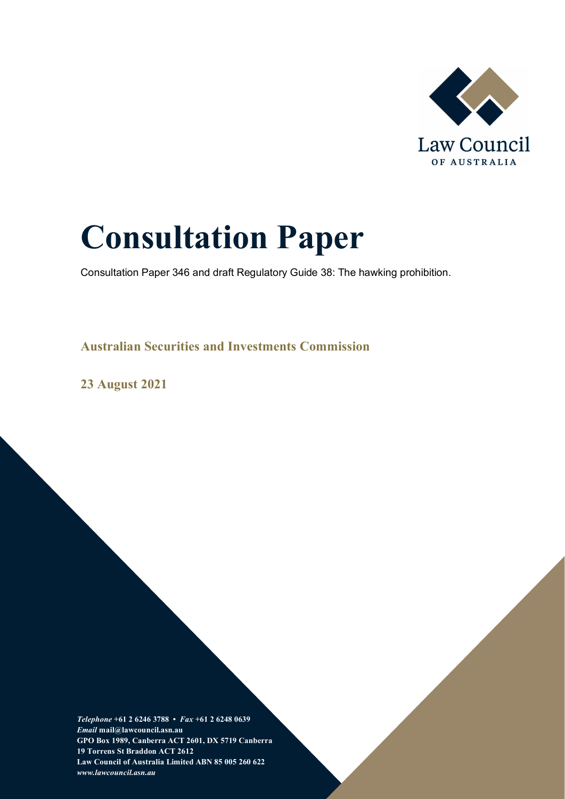

# **Consultation Paper**

Consultation Paper 346 and draft Regulatory Guide 38: The hawking prohibition.

**Australian Securities and Investments Commission** 

**23 August 2021**

*Telephone* **+61 2 6246 3788 •** *Fax* **+61 2 6248 0639**  *Email* **mail@lawcouncil.asn.au GPO Box 1989, Canberra ACT 2601, DX 5719 Canberra 19 Torrens St Braddon ACT 2612 Law Council of Australia Limited ABN 85 005 260 622** *www.lawcouncil.asn.au*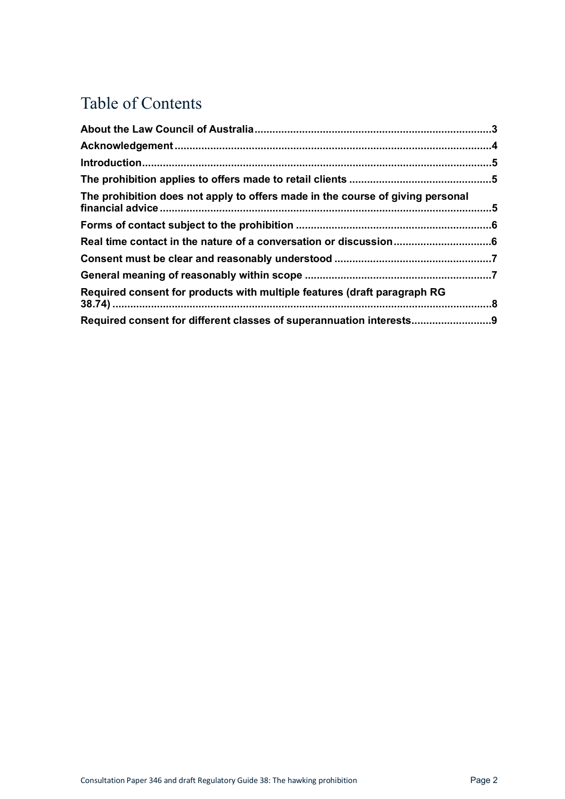# Table of Contents

| The prohibition does not apply to offers made in the course of giving personal |  |
|--------------------------------------------------------------------------------|--|
|                                                                                |  |
|                                                                                |  |
|                                                                                |  |
|                                                                                |  |
| Required consent for products with multiple features (draft paragraph RG       |  |
| Required consent for different classes of superannuation interests9            |  |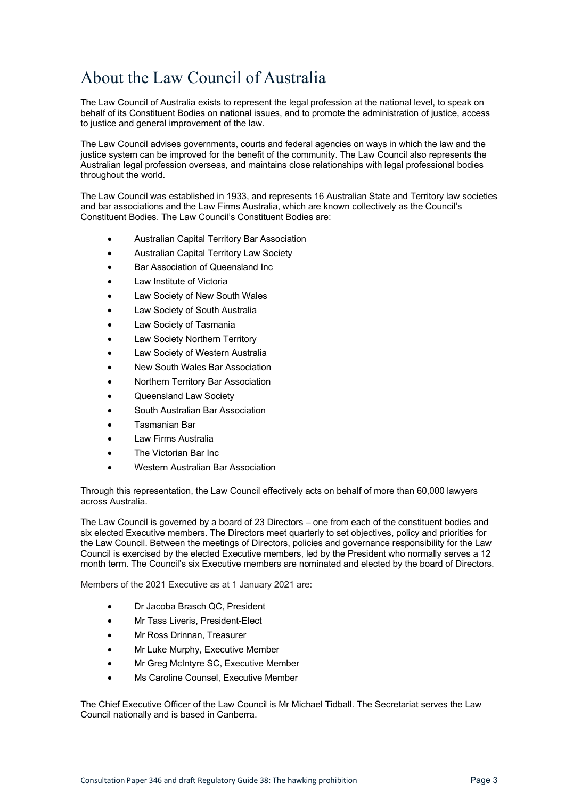# <span id="page-2-0"></span>About the Law Council of Australia

The Law Council of Australia exists to represent the legal profession at the national level, to speak on behalf of its Constituent Bodies on national issues, and to promote the administration of justice, access to justice and general improvement of the law.

The Law Council advises governments, courts and federal agencies on ways in which the law and the justice system can be improved for the benefit of the community. The Law Council also represents the Australian legal profession overseas, and maintains close relationships with legal professional bodies throughout the world.

The Law Council was established in 1933, and represents 16 Australian State and Territory law societies and bar associations and the Law Firms Australia, which are known collectively as the Council's Constituent Bodies. The Law Council's Constituent Bodies are:

- Australian Capital Territory Bar Association
- Australian Capital Territory Law Society
- Bar Association of Queensland Inc
- Law Institute of Victoria
- Law Society of New South Wales
- Law Society of South Australia
- Law Society of Tasmania
- Law Society Northern Territory
- Law Society of Western Australia
- New South Wales Bar Association
- Northern Territory Bar Association
- Queensland Law Society
- South Australian Bar Association
- Tasmanian Bar
- Law Firms Australia
- The Victorian Bar Inc.
- Western Australian Bar Association

Through this representation, the Law Council effectively acts on behalf of more than 60,000 lawyers across Australia.

The Law Council is governed by a board of 23 Directors – one from each of the constituent bodies and six elected Executive members. The Directors meet quarterly to set objectives, policy and priorities for the Law Council. Between the meetings of Directors, policies and governance responsibility for the Law Council is exercised by the elected Executive members, led by the President who normally serves a 12 month term. The Council's six Executive members are nominated and elected by the board of Directors.

Members of the 2021 Executive as at 1 January 2021 are:

- Dr Jacoba Brasch QC, President
- Mr Tass Liveris, President-Elect
- Mr Ross Drinnan, Treasurer
- Mr Luke Murphy, Executive Member
- Mr Greg McIntyre SC, Executive Member
- Ms Caroline Counsel, Executive Member

The Chief Executive Officer of the Law Council is Mr Michael Tidball. The Secretariat serves the Law Council nationally and is based in Canberra.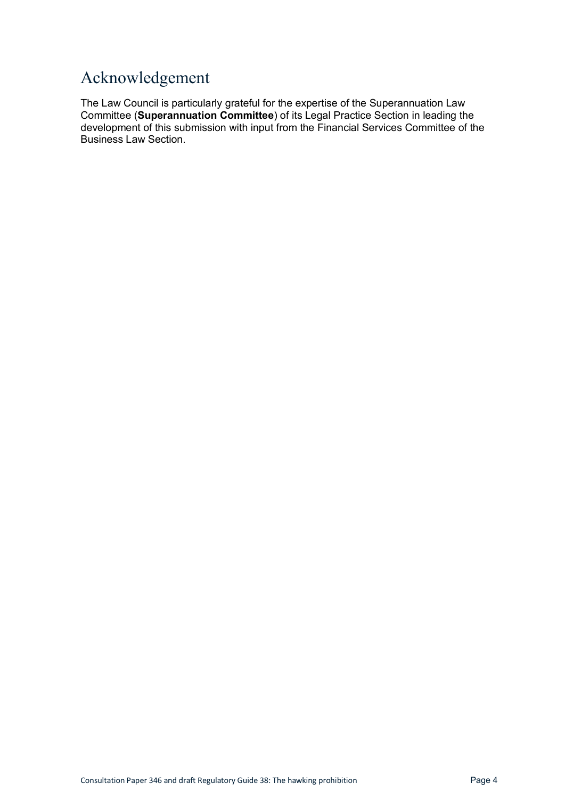# <span id="page-3-0"></span>Acknowledgement

The Law Council is particularly grateful for the expertise of the Superannuation Law Committee (**Superannuation Committee**) of its Legal Practice Section in leading the development of this submission with input from the Financial Services Committee of the Business Law Section.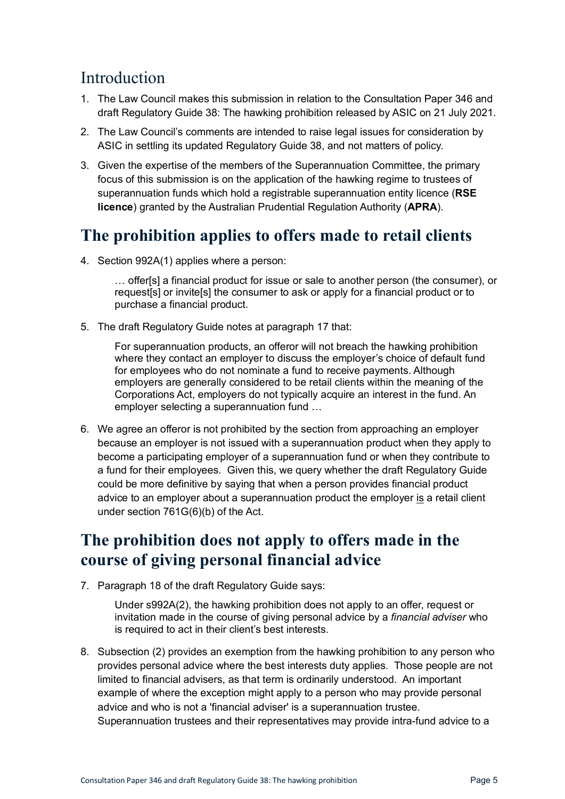#### <span id="page-4-0"></span>Introduction

- 1. The Law Council makes this submission in relation to the Consultation Paper 346 and draft Regulatory Guide 38: The hawking prohibition released by ASIC on 21 July 2021.
- 2. The Law Council's comments are intended to raise legal issues for consideration by ASIC in settling its updated Regulatory Guide 38, and not matters of policy.
- 3. Given the expertise of the members of the Superannuation Committee, the primary focus of this submission is on the application of the hawking regime to trustees of superannuation funds which hold a registrable superannuation entity licence (**RSE licence**) granted by the Australian Prudential Regulation Authority (**APRA**).

#### <span id="page-4-1"></span>**The prohibition applies to offers made to retail clients**

4. Section 992A(1) applies where a person:

… offer[s] a financial product for issue or sale to another person (the consumer), or request[s] or invite[s] the consumer to ask or apply for a financial product or to purchase a financial product.

5. The draft Regulatory Guide notes at paragraph 17 that:

For superannuation products, an offeror will not breach the hawking prohibition where they contact an employer to discuss the employer's choice of default fund for employees who do not nominate a fund to receive payments. Although employers are generally considered to be retail clients within the meaning of the Corporations Act, employers do not typically acquire an interest in the fund. An employer selecting a superannuation fund …

6. We agree an offeror is not prohibited by the section from approaching an employer because an employer is not issued with a superannuation product when they apply to become a participating employer of a superannuation fund or when they contribute to a fund for their employees. Given this, we query whether the draft Regulatory Guide could be more definitive by saying that when a person provides financial product advice to an employer about a superannuation product the employer is a retail client under section 761G(6)(b) of the Act.

# <span id="page-4-2"></span>**The prohibition does not apply to offers made in the course of giving personal financial advice**

7. Paragraph 18 of the draft Regulatory Guide says:

Under s992A(2), the hawking prohibition does not apply to an offer, request or invitation made in the course of giving personal advice by a *financial adviser* who is required to act in their client's best interests.

8. Subsection (2) provides an exemption from the hawking prohibition to any person who provides personal advice where the best interests duty applies. Those people are not limited to financial advisers, as that term is ordinarily understood. An important example of where the exception might apply to a person who may provide personal advice and who is not a 'financial adviser' is a superannuation trustee. Superannuation trustees and their representatives may provide intra-fund advice to a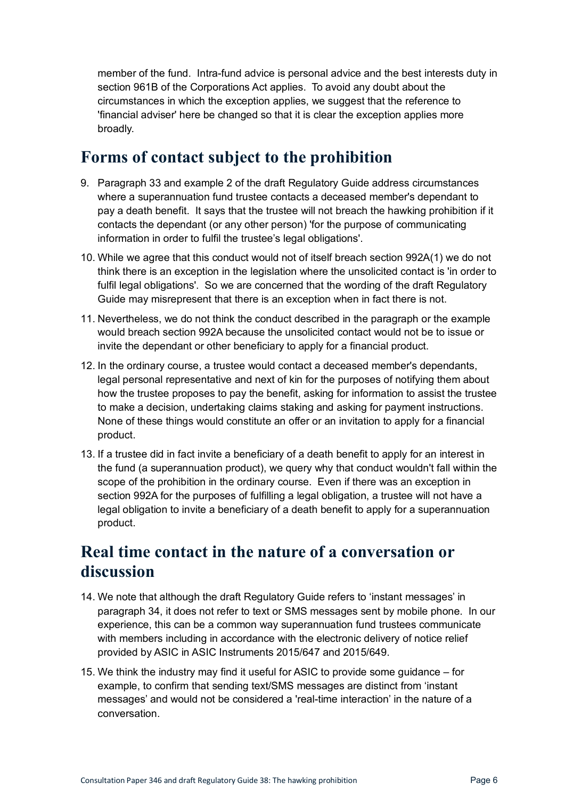member of the fund. Intra-fund advice is personal advice and the best interests duty in section 961B of the Corporations Act applies. To avoid any doubt about the circumstances in which the exception applies, we suggest that the reference to 'financial adviser' here be changed so that it is clear the exception applies more broadly.

#### <span id="page-5-0"></span>**Forms of contact subject to the prohibition**

- 9. Paragraph 33 and example 2 of the draft Regulatory Guide address circumstances where a superannuation fund trustee contacts a deceased member's dependant to pay a death benefit. It says that the trustee will not breach the hawking prohibition if it contacts the dependant (or any other person) 'for the purpose of communicating information in order to fulfil the trustee's legal obligations'.
- 10. While we agree that this conduct would not of itself breach section 992A(1) we do not think there is an exception in the legislation where the unsolicited contact is 'in order to fulfil legal obligations'. So we are concerned that the wording of the draft Regulatory Guide may misrepresent that there is an exception when in fact there is not.
- 11. Nevertheless, we do not think the conduct described in the paragraph or the example would breach section 992A because the unsolicited contact would not be to issue or invite the dependant or other beneficiary to apply for a financial product.
- 12. In the ordinary course, a trustee would contact a deceased member's dependants, legal personal representative and next of kin for the purposes of notifying them about how the trustee proposes to pay the benefit, asking for information to assist the trustee to make a decision, undertaking claims staking and asking for payment instructions. None of these things would constitute an offer or an invitation to apply for a financial product.
- 13. If a trustee did in fact invite a beneficiary of a death benefit to apply for an interest in the fund (a superannuation product), we query why that conduct wouldn't fall within the scope of the prohibition in the ordinary course. Even if there was an exception in section 992A for the purposes of fulfilling a legal obligation, a trustee will not have a legal obligation to invite a beneficiary of a death benefit to apply for a superannuation product.

#### <span id="page-5-1"></span>**Real time contact in the nature of a conversation or discussion**

- 14. We note that although the draft Regulatory Guide refers to 'instant messages' in paragraph 34, it does not refer to text or SMS messages sent by mobile phone. In our experience, this can be a common way superannuation fund trustees communicate with members including in accordance with the electronic delivery of notice relief provided by ASIC in [ASIC Instruments 2015/647](https://www.comlaw.gov.au/current/F2015L01185) and 2015/649.
- 15. We think the industry may find it useful for ASIC to provide some guidance for example, to confirm that sending text/SMS messages are distinct from 'instant messages' and would not be considered a 'real-time interaction' in the nature of a conversation.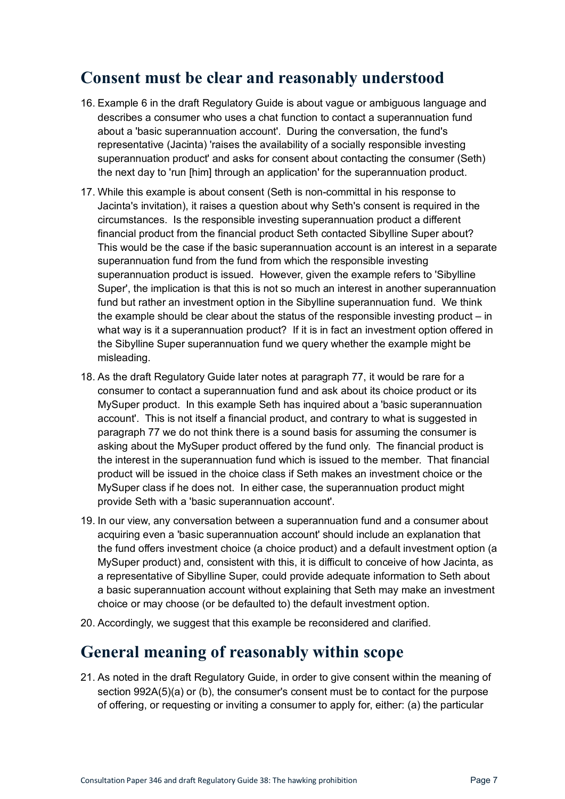#### <span id="page-6-0"></span>**Consent must be clear and reasonably understood**

- 16. Example 6 in the draft Regulatory Guide is about vague or ambiguous language and describes a consumer who uses a chat function to contact a superannuation fund about a 'basic superannuation account'. During the conversation, the fund's representative (Jacinta) 'raises the availability of a socially responsible investing superannuation product' and asks for consent about contacting the consumer (Seth) the next day to 'run [him] through an application' for the superannuation product.
- 17. While this example is about consent (Seth is non-committal in his response to Jacinta's invitation), it raises a question about why Seth's consent is required in the circumstances. Is the responsible investing superannuation product a different financial product from the financial product Seth contacted Sibylline Super about? This would be the case if the basic superannuation account is an interest in a separate superannuation fund from the fund from which the responsible investing superannuation product is issued. However, given the example refers to 'Sibylline Super', the implication is that this is not so much an interest in another superannuation fund but rather an investment option in the Sibylline superannuation fund. We think the example should be clear about the status of the responsible investing product – in what way is it a superannuation product? If it is in fact an investment option offered in the Sibylline Super superannuation fund we query whether the example might be misleading.
- 18. As the draft Regulatory Guide later notes at paragraph 77, it would be rare for a consumer to contact a superannuation fund and ask about its choice product or its MySuper product. In this example Seth has inquired about a 'basic superannuation account'. This is not itself a financial product, and contrary to what is suggested in paragraph 77 we do not think there is a sound basis for assuming the consumer is asking about the MySuper product offered by the fund only. The financial product is the interest in the superannuation fund which is issued to the member. That financial product will be issued in the choice class if Seth makes an investment choice or the MySuper class if he does not. In either case, the superannuation product might provide Seth with a 'basic superannuation account'.
- 19. In our view, any conversation between a superannuation fund and a consumer about acquiring even a 'basic superannuation account' should include an explanation that the fund offers investment choice (a choice product) and a default investment option (a MySuper product) and, consistent with this, it is difficult to conceive of how Jacinta, as a representative of Sibylline Super, could provide adequate information to Seth about a basic superannuation account without explaining that Seth may make an investment choice or may choose (or be defaulted to) the default investment option.
- 20. Accordingly, we suggest that this example be reconsidered and clarified.

#### <span id="page-6-1"></span>**General meaning of reasonably within scope**

21. As noted in the draft Regulatory Guide, in order to give consent within the meaning of section 992A(5)(a) or (b), the consumer's consent must be to contact for the purpose of offering, or requesting or inviting a consumer to apply for, either: (a) the particular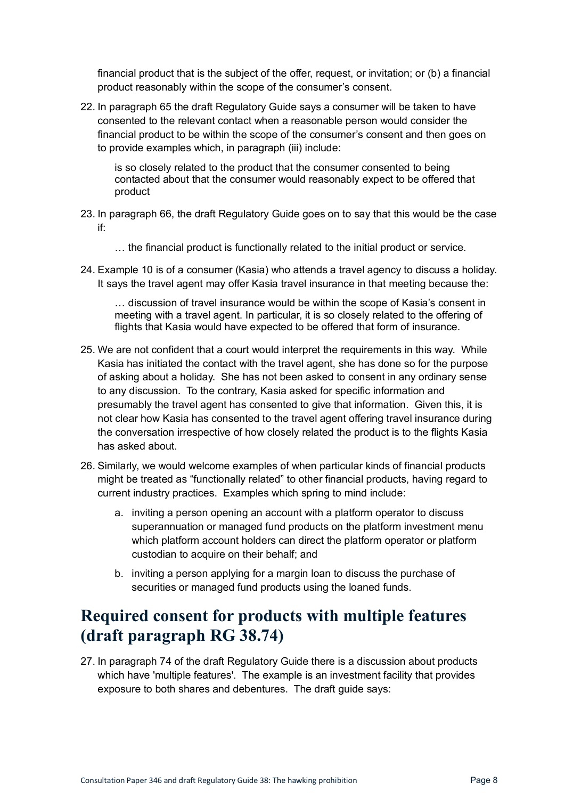financial product that is the subject of the offer, request, or invitation; or (b) a financial product reasonably within the scope of the consumer's consent.

22. In paragraph 65 the draft Regulatory Guide says a consumer will be taken to have consented to the relevant contact when a reasonable person would consider the financial product to be within the scope of the consumer's consent and then goes on to provide examples which, in paragraph (iii) include:

is so closely related to the product that the consumer consented to being contacted about that the consumer would reasonably expect to be offered that product

- 23. In paragraph 66, the draft Regulatory Guide goes on to say that this would be the case if:
	- … the financial product is functionally related to the initial product or service.
- 24. Example 10 is of a consumer (Kasia) who attends a travel agency to discuss a holiday. It says the travel agent may offer Kasia travel insurance in that meeting because the:

… discussion of travel insurance would be within the scope of Kasia's consent in meeting with a travel agent. In particular, it is so closely related to the offering of flights that Kasia would have expected to be offered that form of insurance.

- 25. We are not confident that a court would interpret the requirements in this way. While Kasia has initiated the contact with the travel agent, she has done so for the purpose of asking about a holiday. She has not been asked to consent in any ordinary sense to any discussion. To the contrary, Kasia asked for specific information and presumably the travel agent has consented to give that information. Given this, it is not clear how Kasia has consented to the travel agent offering travel insurance during the conversation irrespective of how closely related the product is to the flights Kasia has asked about.
- 26. Similarly, we would welcome examples of when particular kinds of financial products might be treated as "functionally related" to other financial products, having regard to current industry practices. Examples which spring to mind include:
	- a. inviting a person opening an account with a platform operator to discuss superannuation or managed fund products on the platform investment menu which platform account holders can direct the platform operator or platform custodian to acquire on their behalf; and
	- b. inviting a person applying for a margin loan to discuss the purchase of securities or managed fund products using the loaned funds.

#### <span id="page-7-0"></span>**Required consent for products with multiple features (draft paragraph RG 38.74)**

27. In paragraph 74 of the draft Regulatory Guide there is a discussion about products which have 'multiple features'. The example is an investment facility that provides exposure to both shares and debentures. The draft guide says: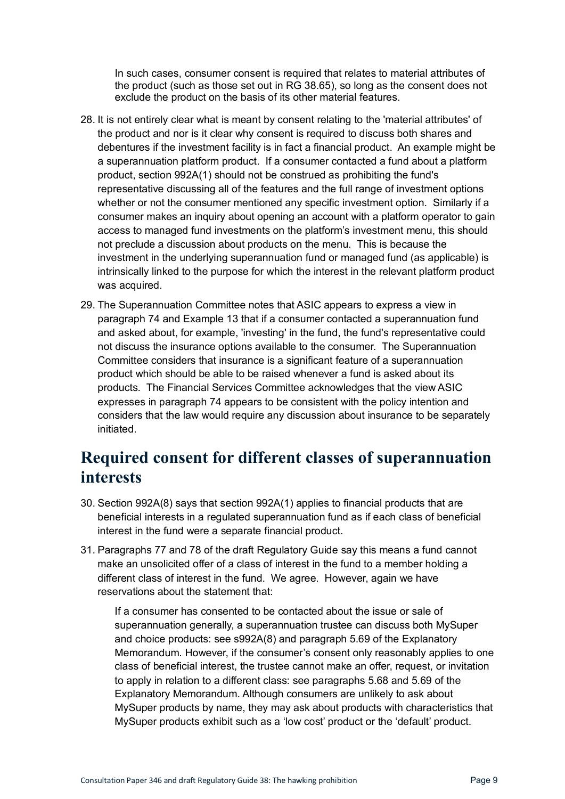In such cases, consumer consent is required that relates to material attributes of the product (such as those set out in RG 38.65), so long as the consent does not exclude the product on the basis of its other material features.

- 28. It is not entirely clear what is meant by consent relating to the 'material attributes' of the product and nor is it clear why consent is required to discuss both shares and debentures if the investment facility is in fact a financial product. An example might be a superannuation platform product. If a consumer contacted a fund about a platform product, section 992A(1) should not be construed as prohibiting the fund's representative discussing all of the features and the full range of investment options whether or not the consumer mentioned any specific investment option. Similarly if a consumer makes an inquiry about opening an account with a platform operator to gain access to managed fund investments on the platform's investment menu, this should not preclude a discussion about products on the menu. This is because the investment in the underlying superannuation fund or managed fund (as applicable) is intrinsically linked to the purpose for which the interest in the relevant platform product was acquired.
- 29. The Superannuation Committee notes that ASIC appears to express a view in paragraph 74 and Example 13 that if a consumer contacted a superannuation fund and asked about, for example, 'investing' in the fund, the fund's representative could not discuss the insurance options available to the consumer. The Superannuation Committee considers that insurance is a significant feature of a superannuation product which should be able to be raised whenever a fund is asked about its products. The Financial Services Committee acknowledges that the view ASIC expresses in paragraph 74 appears to be consistent with the policy intention and considers that the law would require any discussion about insurance to be separately initiated.

# <span id="page-8-0"></span>**Required consent for different classes of superannuation interests**

- 30. Section 992A(8) says that section 992A(1) applies to financial products that are beneficial interests in a regulated superannuation fund as if each class of beneficial interest in the fund were a separate financial product.
- 31. Paragraphs 77 and 78 of the draft Regulatory Guide say this means a fund cannot make an unsolicited offer of a class of interest in the fund to a member holding a different class of interest in the fund. We agree. However, again we have reservations about the statement that:

If a consumer has consented to be contacted about the issue or sale of superannuation generally, a superannuation trustee can discuss both MySuper and choice products: see s992A(8) and paragraph 5.69 of the Explanatory Memorandum. However, if the consumer's consent only reasonably applies to one class of beneficial interest, the trustee cannot make an offer, request, or invitation to apply in relation to a different class: see paragraphs 5.68 and 5.69 of the Explanatory Memorandum. Although consumers are unlikely to ask about MySuper products by name, they may ask about products with characteristics that MySuper products exhibit such as a 'low cost' product or the 'default' product.